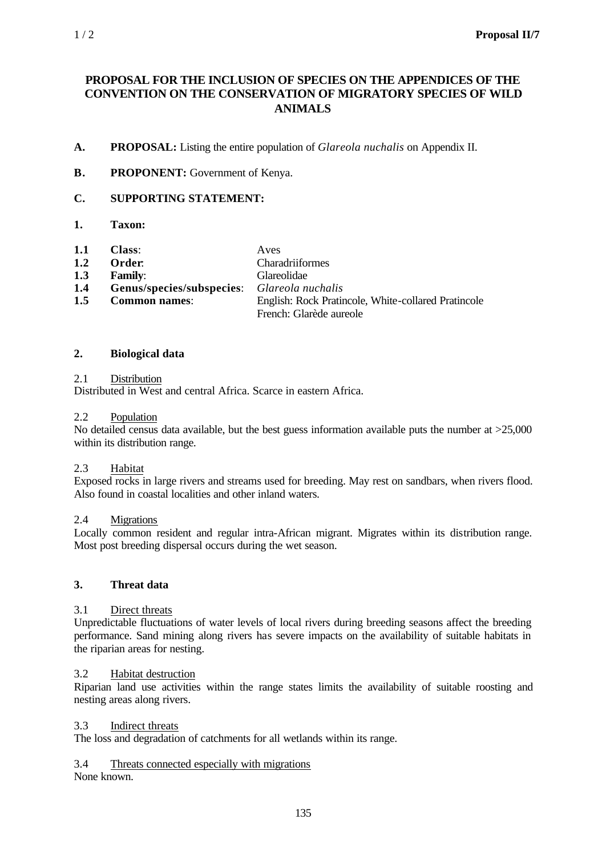# **PROPOSAL FOR THE INCLUSION OF SPECIES ON THE APPENDICES OF THE CONVENTION ON THE CONSERVATION OF MIGRATORY SPECIES OF WILD ANIMALS**

- **A. PROPOSAL:** Listing the entire population of *Glareola nuchalis* on Appendix II.
- **B. PROPONENT:** Government of Kenya.

# **C. SUPPORTING STATEMENT:**

- **1. Taxon:**
- **1.1 Class**: Aves

| 1.2<br>Order: | Charadriiformes |
|---------------|-----------------|
|               |                 |

- **1.3 Family**: Glareolidae
- **1.4 Genus/species/subspecies**: *Glareola nuchalis*
- **1.5 Common names**: English: Rock Pratincole, White-collared Pratincole French: Glarède aureole

### **2. Biological data**

### 2.1 Distribution

Distributed in West and central Africa. Scarce in eastern Africa.

### 2.2 Population

No detailed census data available, but the best guess information available puts the number at >25,000 within its distribution range.

#### 2.3 Habitat

Exposed rocks in large rivers and streams used for breeding. May rest on sandbars, when rivers flood. Also found in coastal localities and other inland waters.

### 2.4 Migrations

Locally common resident and regular intra-African migrant. Migrates within its distribution range. Most post breeding dispersal occurs during the wet season.

#### **3. Threat data**

### 3.1 Direct threats

Unpredictable fluctuations of water levels of local rivers during breeding seasons affect the breeding performance. Sand mining along rivers has severe impacts on the availability of suitable habitats in the riparian areas for nesting.

### 3.2 Habitat destruction

Riparian land use activities within the range states limits the availability of suitable roosting and nesting areas along rivers.

#### 3.3 Indirect threats

The loss and degradation of catchments for all wetlands within its range.

### 3.4 Threats connected especially with migrations

None known.